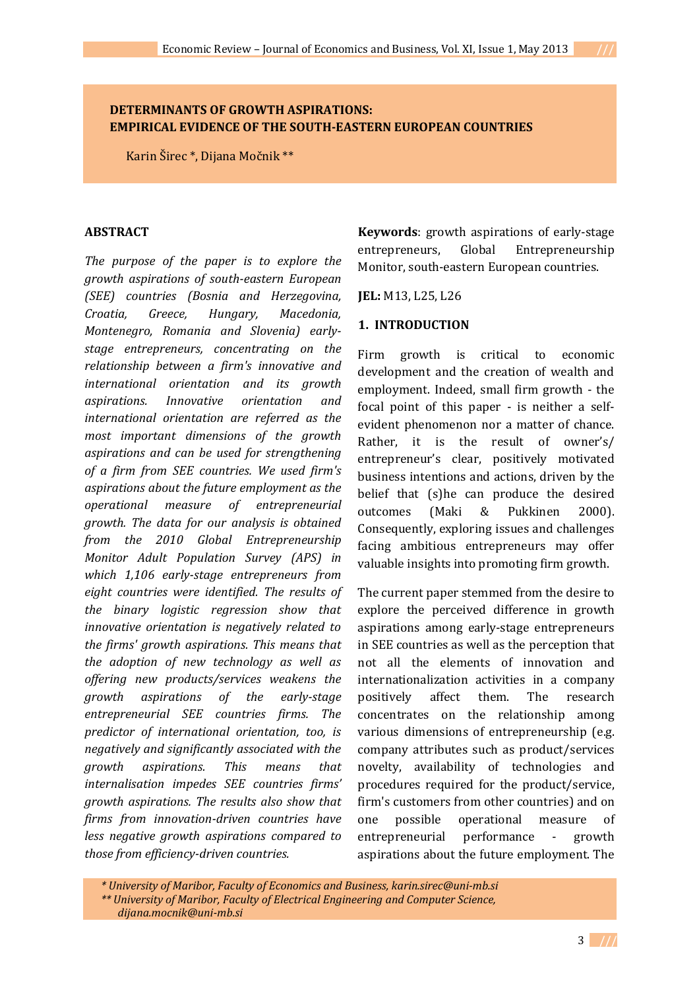## **DETERMINANTS OF GROWTH ASPIRATIONS: EMPIRICAL EVIDENCE OF THE SOUTH-EASTERN EUROPEAN COUNTRIES**

Karin Širec \*, Dijana Močnik \*\*

#### **ABSTRACT**

*The purpose of the paper is to explore the growth aspirations of south-eastern European (SEE) countries (Bosnia and Herzegovina, Croatia, Greece, Hungary, Macedonia, Montenegro, Romania and Slovenia) earlystage entrepreneurs, concentrating on the relationship between a firm's innovative and international orientation and its growth aspirations. Innovative orientation and international orientation are referred as the most important dimensions of the growth aspirations and can be used for strengthening of a firm from SEE countries. We used firm's aspirations about the future employment as the operational measure of entrepreneurial growth. The data for our analysis is obtained from the 2010 Global Entrepreneurship Monitor Adult Population Survey (APS) in which 1,106 early-stage entrepreneurs from eight countries were identified. The results of the binary logistic regression show that innovative orientation is negatively related to the firms' growth aspirations. This means that the adoption of new technology as well as offering new products/services weakens the growth aspirations of the early-stage entrepreneurial SEE countries firms. The predictor of international orientation, too, is negatively and significantly associated with the growth aspirations. This means that internalisation impedes SEE countries firms' growth aspirations. The results also show that firms from innovation-driven countries have less negative growth aspirations compared to those from efficiency-driven countries.*

**Keywords**: growth aspirations of early-stage entrepreneurs, Global Entrepreneurship Monitor, south-eastern European countries.

**JEL:** M13, L25, L26

### **1. INTRODUCTION**

Firm growth is critical to economic development and the creation of wealth and employment. Indeed, small firm growth - the focal point of this paper - is neither a selfevident phenomenon nor a matter of chance. Rather, it is the result of owner's/ entrepreneur's clear, positively motivated business intentions and actions, driven by the belief that (s)he can produce the desired outcomes (Maki & Pukkinen 2000). Consequently, exploring issues and challenges facing ambitious entrepreneurs may offer valuable insights into promoting firm growth.

The current paper stemmed from the desire to explore the perceived difference in growth aspirations among early-stage entrepreneurs in SEE countries as well as the perception that not all the elements of innovation and internationalization activities in a company positively affect them. The research concentrates on the relationship among various dimensions of entrepreneurship (e.g. company attributes such as product/services novelty, availability of technologies and procedures required for the product/service, firm's customers from other countries) and on one possible operational measure of entrepreneurial performance - growth aspirations about the future employment. The

*<sup>\*</sup> University of Maribor, Faculty of Economics and Business, karin.sirec@uni-mb.si \*\* University of Maribor, Faculty of Electrical Engineering and Computer Science, dijana.mocnik@uni-mb.si*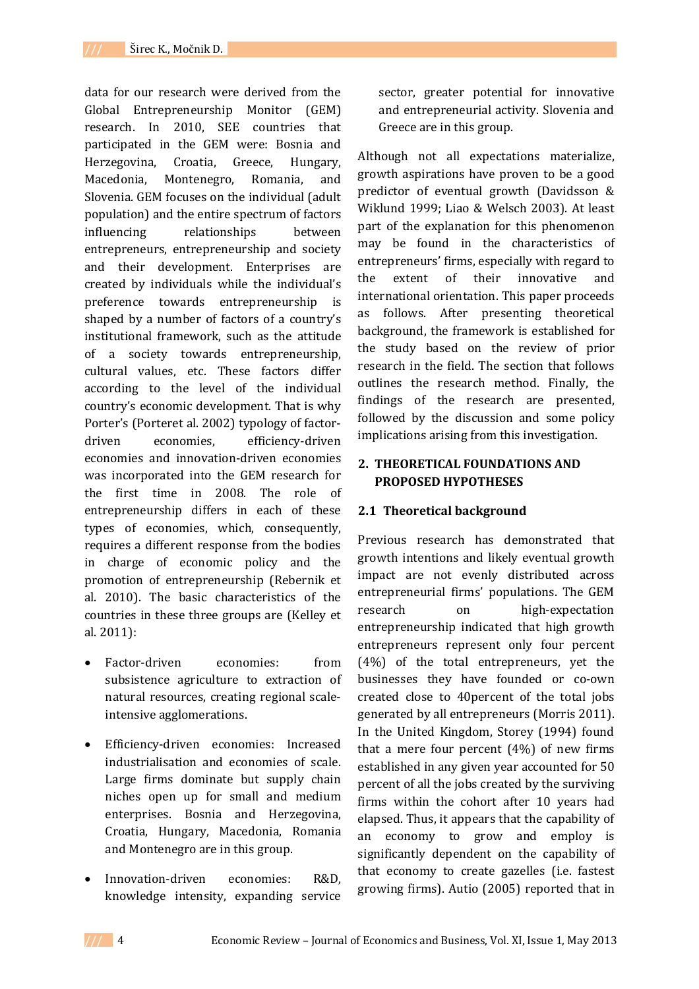data for our research were derived from the Global Entrepreneurship Monitor (GEM) research. In 2010, SEE countries that participated in the GEM were: Bosnia and Herzegovina, Croatia, Greece, Hungary, Macedonia, Montenegro, Romania, and Slovenia. GEM focuses on the individual (adult population) and the entire spectrum of factors influencing relationships between entrepreneurs, entrepreneurship and society and their development. Enterprises are created by individuals while the individual's preference towards entrepreneurship is shaped by a number of factors of a country's institutional framework, such as the attitude of a society towards entrepreneurship, cultural values, etc. These factors differ according to the level of the individual country's economic development. That is why Porter's (Porteret al. 2002) typology of factordriven economies, efficiency-driven economies and innovation-driven economies was incorporated into the GEM research for the first time in 2008. The role of entrepreneurship differs in each of these types of economies, which, consequently, requires a different response from the bodies in charge of economic policy and the promotion of entrepreneurship (Rebernik et al. 2010). The basic characteristics of the countries in these three groups are (Kelley et al. 2011):

- Factor-driven economies: from subsistence agriculture to extraction of natural resources, creating regional scaleintensive agglomerations.
- Efficiency-driven economies: Increased industrialisation and economies of scale. Large firms dominate but supply chain niches open up for small and medium enterprises. Bosnia and Herzegovina, Croatia, Hungary, Macedonia, Romania and Montenegro are in this group.
- Innovation-driven economies: R&D, knowledge intensity, expanding service

sector, greater potential for innovative and entrepreneurial activity. Slovenia and Greece are in this group.

Although not all expectations materialize, growth aspirations have proven to be a good predictor of eventual growth (Davidsson & Wiklund 1999; Liao & Welsch 2003). At least part of the explanation for this phenomenon may be found in the characteristics of entrepreneurs' firms, especially with regard to the extent of their innovative and international orientation. This paper proceeds as follows. After presenting theoretical background, the framework is established for the study based on the review of prior research in the field. The section that follows outlines the research method. Finally, the findings of the research are presented, followed by the discussion and some policy implications arising from this investigation.

## **2. THEORETICAL FOUNDATIONS AND PROPOSED HYPOTHESES**

### **2.1 Theoretical background**

Previous research has demonstrated that growth intentions and likely eventual growth impact are not evenly distributed across entrepreneurial firms' populations. The GEM research on high-expectation entrepreneurship indicated that high growth entrepreneurs represent only four percent (4%) of the total entrepreneurs, yet the businesses they have founded or co-own created close to 40percent of the total jobs generated by all entrepreneurs (Morris 2011). In the United Kingdom, Storey (1994) found that a mere four percent  $(4%)$  of new firms established in any given year accounted for 50 percent of all the jobs created by the surviving firms within the cohort after 10 years had elapsed. Thus, it appears that the capability of an economy to grow and employ is significantly dependent on the capability of that economy to create gazelles (i.e. fastest growing firms). Autio (2005) reported that in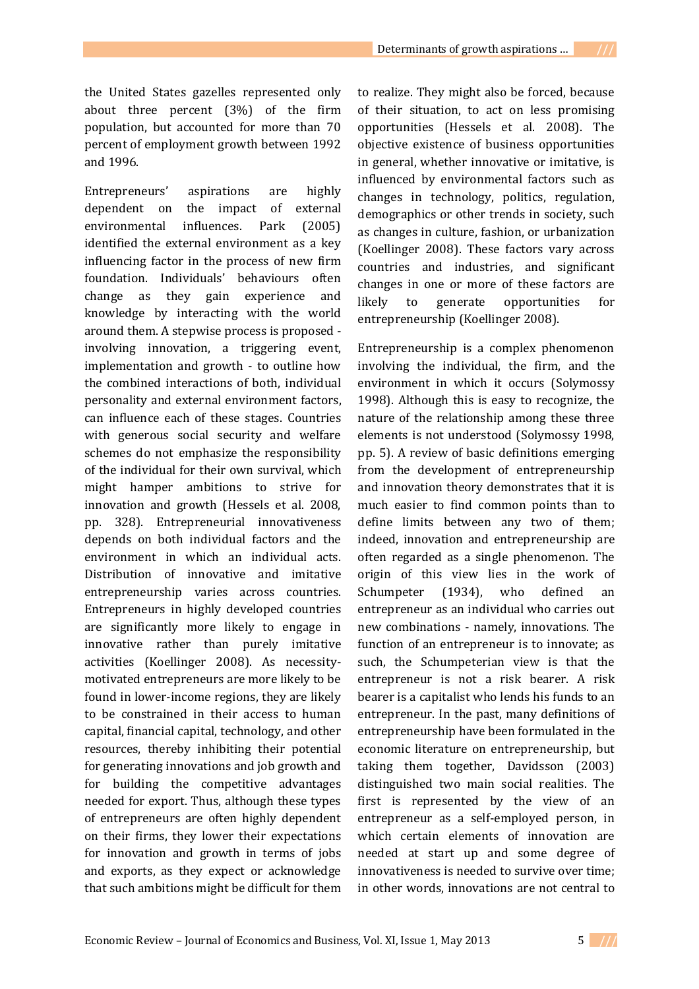the United States gazelles represented only about three percent (3%) of the firm population, but accounted for more than 70 percent of employment growth between 1992 and 1996.

Entrepreneurs' aspirations are highly dependent on the impact of external environmental influences. Park (2005) identified the external environment as a key influencing factor in the process of new firm foundation. Individuals' behaviours often change as they gain experience and knowledge by interacting with the world around them. A stepwise process is proposed involving innovation, a triggering event, implementation and growth - to outline how the combined interactions of both, individual personality and external environment factors, can influence each of these stages. Countries with generous social security and welfare schemes do not emphasize the responsibility of the individual for their own survival, which might hamper ambitions to strive for innovation and growth (Hessels et al. 2008, pp. 328). Entrepreneurial innovativeness depends on both individual factors and the environment in which an individual acts. Distribution of innovative and imitative entrepreneurship varies across countries. Entrepreneurs in highly developed countries are significantly more likely to engage in innovative rather than purely imitative activities (Koellinger 2008). As necessitymotivated entrepreneurs are more likely to be found in lower-income regions, they are likely to be constrained in their access to human capital, financial capital, technology, and other resources, thereby inhibiting their potential for generating innovations and job growth and for building the competitive advantages needed for export. Thus, although these types of entrepreneurs are often highly dependent on their firms, they lower their expectations for innovation and growth in terms of jobs and exports, as they expect or acknowledge that such ambitions might be difficult for them

to realize. They might also be forced, because of their situation, to act on less promising opportunities (Hessels et al. 2008). The objective existence of business opportunities in general, whether innovative or imitative, is influenced by environmental factors such as changes in technology, politics, regulation, demographics or other trends in society, such as changes in culture, fashion, or urbanization (Koellinger 2008). These factors vary across countries and industries, and significant changes in one or more of these factors are likely to generate opportunities for entrepreneurship (Koellinger 2008).

Entrepreneurship is a complex phenomenon involving the individual, the firm, and the environment in which it occurs (Solymossy 1998). Although this is easy to recognize, the nature of the relationship among these three elements is not understood (Solymossy 1998, pp. 5). A review of basic definitions emerging from the development of entrepreneurship and innovation theory demonstrates that it is much easier to find common points than to define limits between any two of them; indeed, innovation and entrepreneurship are often regarded as a single phenomenon. The origin of this view lies in the work of Schumpeter (1934), who defined an entrepreneur as an individual who carries out new combinations - namely, innovations. The function of an entrepreneur is to innovate; as such, the Schumpeterian view is that the entrepreneur is not a risk bearer. A risk bearer is a capitalist who lends his funds to an entrepreneur. In the past, many definitions of entrepreneurship have been formulated in the economic literature on entrepreneurship, but taking them together, Davidsson (2003) distinguished two main social realities. The first is represented by the view of an entrepreneur as a self-employed person, in which certain elements of innovation are needed at start up and some degree of innovativeness is needed to survive over time; in other words, innovations are not central to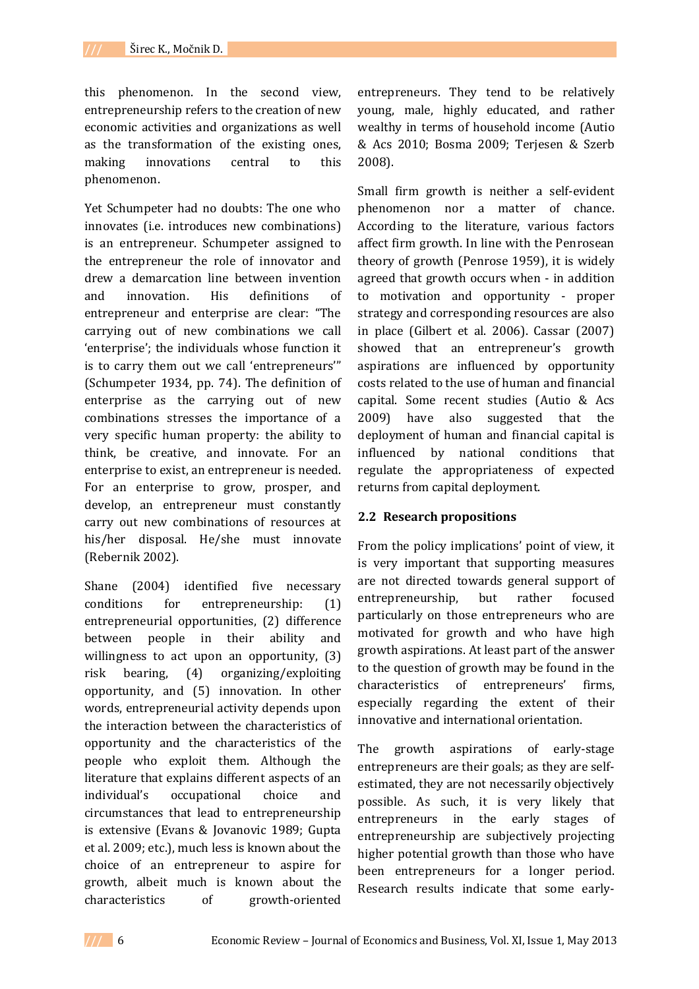this phenomenon. In the second view, entrepreneurship refers to the creation of new economic activities and organizations as well as the transformation of the existing ones, making innovations central to this phenomenon.

Yet Schumpeter had no doubts: The one who innovates (i.e. introduces new combinations) is an entrepreneur. Schumpeter assigned to the entrepreneur the role of innovator and drew a demarcation line between invention and innovation. His definitions of entrepreneur and enterprise are clear: "The carrying out of new combinations we call 'enterprise'; the individuals whose function it is to carry them out we call 'entrepreneurs'" (Schumpeter 1934, pp. 74). The definition of enterprise as the carrying out of new combinations stresses the importance of a very specific human property: the ability to think, be creative, and innovate. For an enterprise to exist, an entrepreneur is needed. For an enterprise to grow, prosper, and develop, an entrepreneur must constantly carry out new combinations of resources at his/her disposal. He/she must innovate (Rebernik 2002).

Shane (2004) identified five necessary conditions for entrepreneurship: (1) entrepreneurial opportunities, (2) difference between people in their ability and willingness to act upon an opportunity, (3) risk bearing, (4) organizing/exploiting opportunity, and (5) innovation. In other words, entrepreneurial activity depends upon the interaction between the characteristics of opportunity and the characteristics of the people who exploit them. Although the literature that explains different aspects of an individual's occupational choice and circumstances that lead to entrepreneurship is extensive (Evans & Jovanovic 1989; Gupta et al. 2009; etc.), much less is known about the choice of an entrepreneur to aspire for growth, albeit much is known about the characteristics of growth-oriented

entrepreneurs. They tend to be relatively young, male, highly educated, and rather wealthy in terms of household income (Autio & Acs 2010; Bosma 2009; Terjesen & Szerb 2008).

Small firm growth is neither a self-evident phenomenon nor a matter of chance. According to the literature, various factors affect firm growth. In line with the Penrosean theory of growth (Penrose 1959), it is widely agreed that growth occurs when - in addition to motivation and opportunity - proper strategy and corresponding resources are also in place (Gilbert et al. 2006). Cassar (2007) showed that an entrepreneur's growth aspirations are influenced by opportunity costs related to the use of human and financial capital. Some recent studies (Autio & Acs 2009) have also suggested that the deployment of human and financial capital is influenced by national conditions that regulate the appropriateness of expected returns from capital deployment.

### **2.2 Research propositions**

From the policy implications' point of view, it is very important that supporting measures are not directed towards general support of entrepreneurship, but rather focused particularly on those entrepreneurs who are motivated for growth and who have high growth aspirations. At least part of the answer to the question of growth may be found in the characteristics of entrepreneurs' firms, especially regarding the extent of their innovative and international orientation.

The growth aspirations of early-stage entrepreneurs are their goals; as they are selfestimated, they are not necessarily objectively possible. As such, it is very likely that entrepreneurs in the early stages of entrepreneurship are subjectively projecting higher potential growth than those who have been entrepreneurs for a longer period. Research results indicate that some early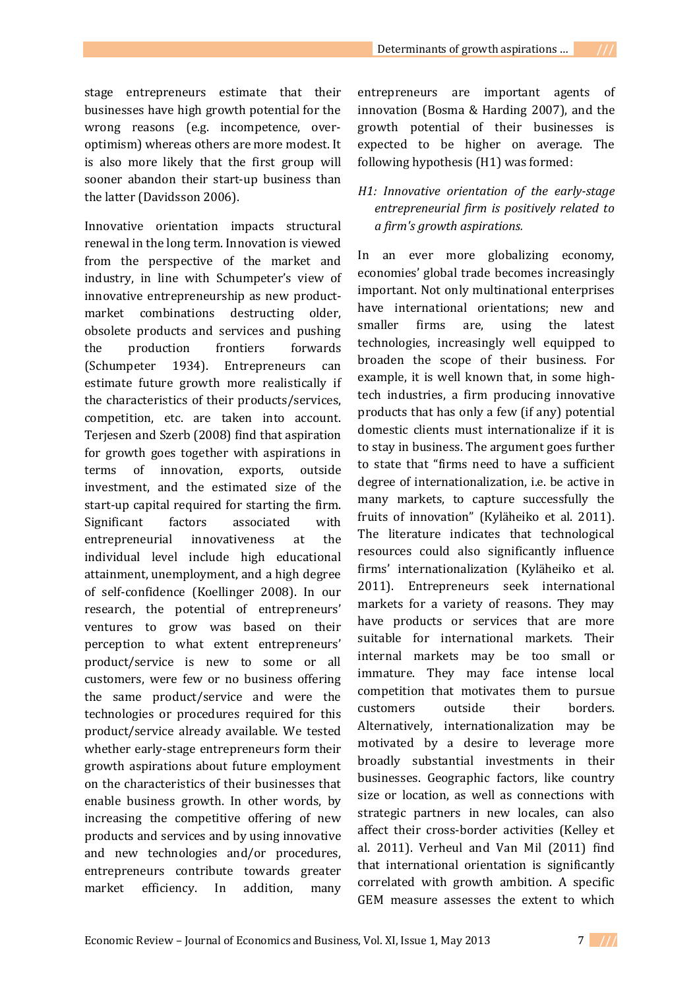stage entrepreneurs estimate that their businesses have high growth potential for the wrong reasons (e.g. incompetence, overoptimism) whereas others are more modest. It is also more likely that the first group will sooner abandon their start-up business than the latter (Davidsson 2006).

Innovative orientation impacts structural renewal in the long term. Innovation is viewed from the perspective of the market and industry, in line with Schumpeter's view of innovative entrepreneurship as new productmarket combinations destructing older, obsolete products and services and pushing the production frontiers forwards (Schumpeter 1934). Entrepreneurs can estimate future growth more realistically if the characteristics of their products/services, competition, etc. are taken into account. Terjesen and Szerb (2008) find that aspiration for growth goes together with aspirations in terms of innovation, exports, outside investment, and the estimated size of the start-up capital required for starting the firm. Significant factors associated with entrepreneurial innovativeness at the individual level include high educational attainment, unemployment, and a high degree of self-confidence (Koellinger 2008). In our research, the potential of entrepreneurs' ventures to grow was based on their perception to what extent entrepreneurs' product/service is new to some or all customers, were few or no business offering the same product/service and were the technologies or procedures required for this product/service already available. We tested whether early-stage entrepreneurs form their growth aspirations about future employment on the characteristics of their businesses that enable business growth. In other words, by increasing the competitive offering of new products and services and by using innovative and new technologies and/or procedures, entrepreneurs contribute towards greater market efficiency. In addition, many entrepreneurs are important agents of innovation (Bosma & Harding 2007), and the growth potential of their businesses is expected to be higher on average. The following hypothesis (H1) was formed:

# *H1: Innovative orientation of the early-stage entrepreneurial firm is positively related to a firm's growth aspirations.*

In an ever more globalizing economy, economies' global trade becomes increasingly important. Not only multinational enterprises have international orientations; new and smaller firms are, using the latest technologies, increasingly well equipped to broaden the scope of their business. For example, it is well known that, in some hightech industries, a firm producing innovative products that has only a few (if any) potential domestic clients must internationalize if it is to stay in business. The argument goes further to state that "firms need to have a sufficient degree of internationalization, i.e. be active in many markets, to capture successfully the fruits of innovation" (Kyläheiko et al. 2011). The literature indicates that technological resources could also significantly influence firms' internationalization (Kyläheiko et al. 2011). Entrepreneurs seek international markets for a variety of reasons. They may have products or services that are more suitable for international markets. Their internal markets may be too small or immature. They may face intense local competition that motivates them to pursue customers outside their borders. Alternatively, internationalization may be motivated by a desire to leverage more broadly substantial investments in their businesses. Geographic factors, like country size or location, as well as connections with strategic partners in new locales, can also affect their cross-border activities (Kelley et al. 2011). Verheul and Van Mil (2011) find that international orientation is significantly correlated with growth ambition. A specific GEM measure assesses the extent to which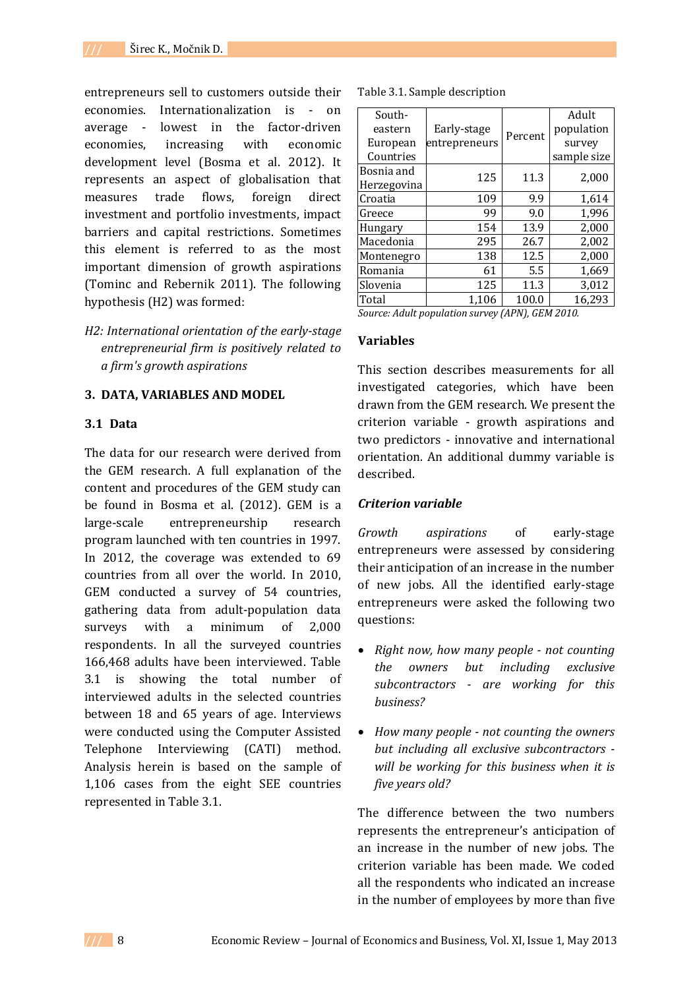entrepreneurs sell to customers outside their economies. Internationalization is - on average - lowest in the factor-driven economies, increasing with economic development level (Bosma et al. 2012). It represents an aspect of globalisation that measures trade flows, foreign direct investment and portfolio investments, impact barriers and capital restrictions. Sometimes this element is referred to as the most important dimension of growth aspirations (Tominc and Rebernik 2011). The following hypothesis (H2) was formed:

*H2: International orientation of the early-stage entrepreneurial firm is positively related to a firm's growth aspirations*

#### **3. DATA, VARIABLES AND MODEL**

### **3.1 Data**

The data for our research were derived from the GEM research. A full explanation of the content and procedures of the GEM study can be found in Bosma et al. (2012). GEM is a large-scale entrepreneurship research program launched with ten countries in 1997. In 2012, the coverage was extended to 69 countries from all over the world. In 2010, GEM conducted a survey of 54 countries, gathering data from adult-population data surveys with a minimum of 2,000 respondents. In all the surveyed countries 166,468 adults have been interviewed. Table 3.1 is showing the total number of interviewed adults in the selected countries between 18 and 65 years of age. Interviews were conducted using the Computer Assisted Telephone Interviewing (CATI) method. Analysis herein is based on the sample of 1,106 cases from the eight SEE countries represented in Table 3.1.

|  |  | Table 3.1. Sample description |
|--|--|-------------------------------|
|--|--|-------------------------------|

| South-                                           |               |         | Adult       |  |  |  |  |
|--------------------------------------------------|---------------|---------|-------------|--|--|--|--|
| eastern                                          | Early-stage   |         | population  |  |  |  |  |
| European                                         | entrepreneurs | Percent | survey      |  |  |  |  |
| Countries                                        |               |         | sample size |  |  |  |  |
| Bosnia and                                       | 125           | 11.3    | 2,000       |  |  |  |  |
| Herzegovina                                      |               |         |             |  |  |  |  |
| Croatia                                          | 109           | 9.9     | 1,614       |  |  |  |  |
| Greece                                           | 99            | 9.0     | 1,996       |  |  |  |  |
| Hungary                                          | 154           | 13.9    | 2,000       |  |  |  |  |
| Macedonia                                        | 295           | 26.7    | 2,002       |  |  |  |  |
| Montenegro                                       | 138           | 12.5    | 2,000       |  |  |  |  |
| Romania                                          | 61            | 5.5     | 1,669       |  |  |  |  |
| Slovenia                                         | 125           | 11.3    | 3,012       |  |  |  |  |
| Total                                            | 1,106         | 100.0   | 16,293      |  |  |  |  |
| Source: Adult population survey (APN), GEM 2010. |               |         |             |  |  |  |  |

### **Variables**

This section describes measurements for all investigated categories, which have been drawn from the GEM research. We present the criterion variable - growth aspirations and two predictors - innovative and international orientation. An additional dummy variable is described.

### *Criterion variable*

*Growth aspirations* of early-stage entrepreneurs were assessed by considering their anticipation of an increase in the number of new jobs. All the identified early-stage entrepreneurs were asked the following two questions:

- *Right now, how many people - not counting the owners but including exclusive subcontractors - are working for this business?*
- *How many people - not counting the owners but including all exclusive subcontractors will be working for this business when it is five years old?*

The difference between the two numbers represents the entrepreneur's anticipation of an increase in the number of new jobs. The criterion variable has been made. We coded all the respondents who indicated an increase in the number of employees by more than five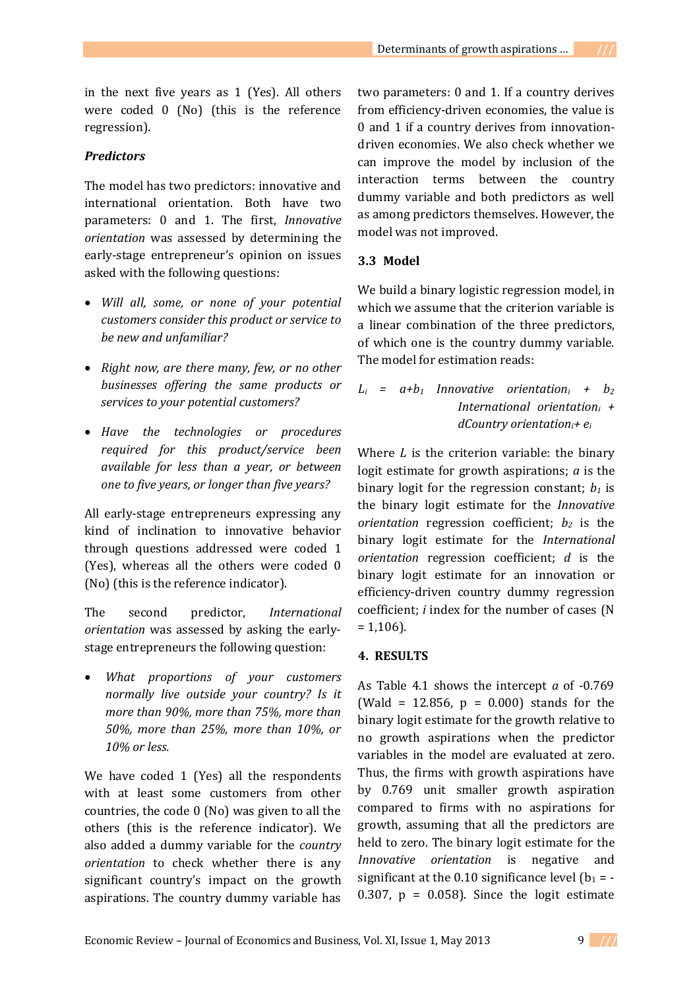in the next five years as 1 (Yes). All others were coded 0 (No) (this is the reference regression).

#### *Predictors*

The model has two predictors: innovative and international orientation. Both have two parameters: 0 and 1. The first, *Innovative orientation* was assessed by determining the early-stage entrepreneur's opinion on issues asked with the following questions:

- *Will all, some, or none of your potential customers consider this product or service to be new and unfamiliar?*
- *Right now, are there many, few, or no other businesses offering the same products or services to your potential customers?*
- *Have the technologies or procedures required for this product/service been available for less than a year, or between one to five years, or longer than five years?*

All early-stage entrepreneurs expressing any kind of inclination to innovative behavior through questions addressed were coded 1 (Yes), whereas all the others were coded 0 (No) (this is the reference indicator).

The second predictor, *International orientation* was assessed by asking the earlystage entrepreneurs the following question:

 *What proportions of your customers normally live outside your country? Is it more than 90%, more than 75%, more than 50%, more than 25%, more than 10%, or 10% or less.*

We have coded 1 (Yes) all the respondents with at least some customers from other countries, the code 0 (No) was given to all the others (this is the reference indicator). We also added a dummy variable for the *country orientation* to check whether there is any significant country's impact on the growth aspirations. The country dummy variable has

two parameters: 0 and 1. If a country derives from efficiency-driven economies, the value is 0 and 1 if a country derives from innovationdriven economies. We also check whether we can improve the model by inclusion of the interaction terms between the country dummy variable and both predictors as well as among predictors themselves. However, the model was not improved.

### **3.3 Model**

We build a binary logistic regression model, in which we assume that the criterion variable is a linear combination of the three predictors, of which one is the country dummy variable. The model for estimation reads:

 $L_i$  =  $a+b_1$  *Innovative orientation<sub>i</sub>* +  $b_2$ *International orientation<sup>i</sup> + dCountry orientationi+ e<sup>i</sup>*

Where *L* is the criterion variable: the binary logit estimate for growth aspirations; *a* is the binary logit for the regression constant;  $b_1$  is the binary logit estimate for the *Innovative orientation* regression coefficient; *b<sup>2</sup>* is the binary logit estimate for the *International orientation* regression coefficient; *d* is the binary logit estimate for an innovation or efficiency-driven country dummy regression coefficient; *i* index for the number of cases (N  $= 1,106$ .

#### **4. RESULTS**

As Table 4.1 shows the intercept *a* of -0.769 (Wald = 12.856,  $p = 0.000$ ) stands for the binary logit estimate for the growth relative to no growth aspirations when the predictor variables in the model are evaluated at zero. Thus, the firms with growth aspirations have by 0.769 unit smaller growth aspiration compared to firms with no aspirations for growth, assuming that all the predictors are held to zero. The binary logit estimate for the *Innovative orientation* is negative and significant at the 0.10 significance level  $(b_1 = -1)$ 0.307,  $p = 0.058$ . Since the logit estimate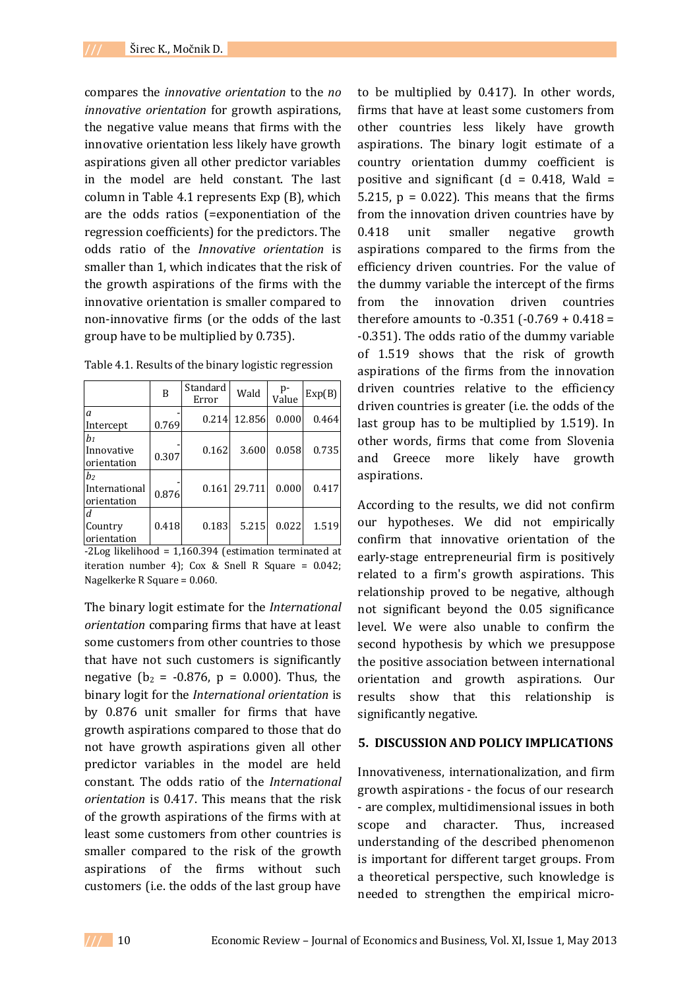compares the *innovative orientation* to the *no innovative orientation* for growth aspirations, the negative value means that firms with the innovative orientation less likely have growth aspirations given all other predictor variables in the model are held constant. The last column in Table 4.1 represents Exp (B), which are the odds ratios (=exponentiation of the regression coefficients) for the predictors. The odds ratio of the *Innovative orientation* is smaller than 1, which indicates that the risk of the growth aspirations of the firms with the innovative orientation is smaller compared to non-innovative firms (or the odds of the last group have to be multiplied by 0.735).

|                                                | B     | Standard<br>Error | Wald   | p-<br>Value | Exp(B) |
|------------------------------------------------|-------|-------------------|--------|-------------|--------|
| a<br>Intercept                                 | 0.769 | 0.214             | 12.856 | 0.000       | 0.464  |
| $b_1$<br>Innovative<br>orientation             | 0.307 | 0.162             | 3.600  | 0.058       | 0.735  |
| b <sub>2</sub><br>International<br>orientation | 0.876 | 0.161             | 29.711 | 0.000       | 0.417  |
| d<br>Country<br>orientation                    | 0.418 | 0.183             | 5.215  | 0.022       | 1.519  |

-2Log likelihood = 1,160.394 (estimation terminated at iteration number 4); Cox & Snell R Square =  $0.042$ ; Nagelkerke R Square = 0.060.

The binary logit estimate for the *International orientation* comparing firms that have at least some customers from other countries to those that have not such customers is significantly negative ( $b_2 = -0.876$ ,  $p = 0.000$ ). Thus, the binary logit for the *International orientation* is by 0.876 unit smaller for firms that have growth aspirations compared to those that do not have growth aspirations given all other predictor variables in the model are held constant. The odds ratio of the *International orientation* is 0.417. This means that the risk of the growth aspirations of the firms with at least some customers from other countries is smaller compared to the risk of the growth aspirations of the firms without such customers (i.e. the odds of the last group have

to be multiplied by 0.417). In other words, firms that have at least some customers from other countries less likely have growth aspirations. The binary logit estimate of a country orientation dummy coefficient is positive and significant ( $d = 0.418$ , Wald = 5.215,  $p = 0.022$ ). This means that the firms from the innovation driven countries have by 0.418 unit smaller negative growth aspirations compared to the firms from the efficiency driven countries. For the value of the dummy variable the intercept of the firms from the innovation driven countries therefore amounts to  $-0.351$  ( $-0.769 + 0.418 =$ -0.351). The odds ratio of the dummy variable of 1.519 shows that the risk of growth aspirations of the firms from the innovation driven countries relative to the efficiency driven countries is greater (i.e. the odds of the last group has to be multiplied by 1.519). In other words, firms that come from Slovenia and Greece more likely have growth aspirations.

According to the results, we did not confirm our hypotheses. We did not empirically confirm that innovative orientation of the early-stage entrepreneurial firm is positively related to a firm's growth aspirations. This relationship proved to be negative, although not significant beyond the 0.05 significance level. We were also unable to confirm the second hypothesis by which we presuppose the positive association between international orientation and growth aspirations. Our results show that this relationship is significantly negative.

## **5. DISCUSSION AND POLICY IMPLICATIONS**

Innovativeness, internationalization, and firm growth aspirations - the focus of our research - are complex, multidimensional issues in both scope and character. Thus, increased understanding of the described phenomenon is important for different target groups. From a theoretical perspective, such knowledge is needed to strengthen the empirical micro-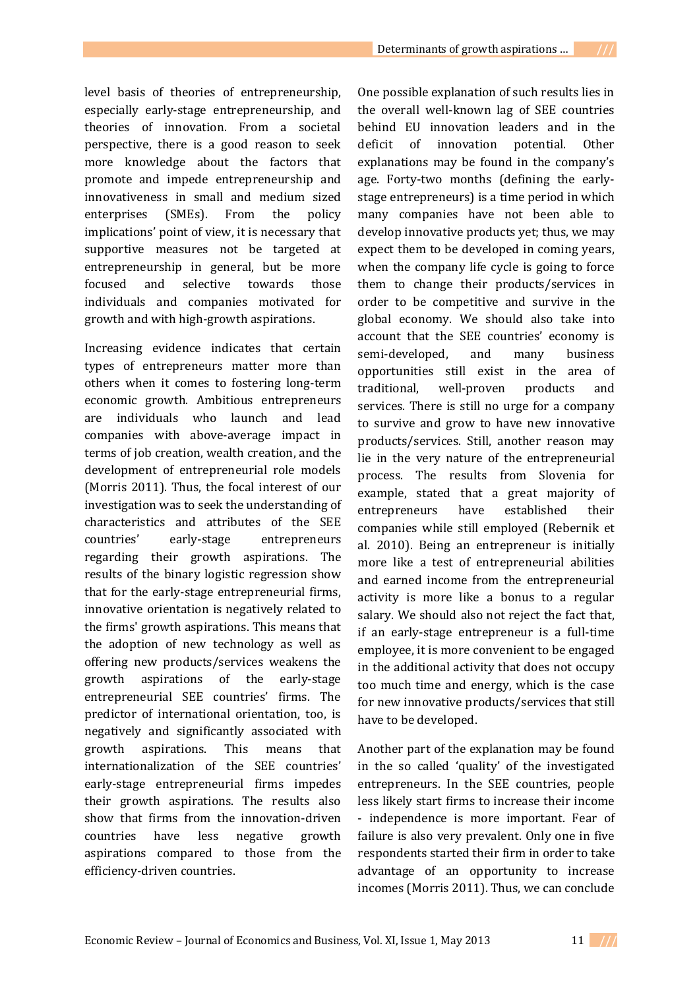level basis of theories of entrepreneurship, especially early-stage entrepreneurship, and theories of innovation. From a societal perspective, there is a good reason to seek more knowledge about the factors that promote and impede entrepreneurship and innovativeness in small and medium sized enterprises (SMEs). From the policy implications' point of view, it is necessary that supportive measures not be targeted at entrepreneurship in general, but be more focused and selective towards those individuals and companies motivated for growth and with high-growth aspirations.

Increasing evidence indicates that certain types of entrepreneurs matter more than others when it comes to fostering long-term economic growth. Ambitious entrepreneurs are individuals who launch and lead companies with above-average impact in terms of job creation, wealth creation, and the development of entrepreneurial role models (Morris 2011). Thus, the focal interest of our investigation was to seek the understanding of characteristics and attributes of the SEE countries' early-stage entrepreneurs regarding their growth aspirations. The results of the binary logistic regression show that for the early-stage entrepreneurial firms, innovative orientation is negatively related to the firms' growth aspirations. This means that the adoption of new technology as well as offering new products/services weakens the growth aspirations of the early-stage entrepreneurial SEE countries' firms. The predictor of international orientation, too, is negatively and significantly associated with growth aspirations. This means that internationalization of the SEE countries' early-stage entrepreneurial firms impedes their growth aspirations. The results also show that firms from the innovation-driven countries have less negative growth aspirations compared to those from the efficiency-driven countries.

One possible explanation of such results lies in the overall well-known lag of SEE countries behind EU innovation leaders and in the deficit of innovation potential. Other explanations may be found in the company's age. Forty-two months (defining the earlystage entrepreneurs) is a time period in which many companies have not been able to develop innovative products yet; thus, we may expect them to be developed in coming years, when the company life cycle is going to force them to change their products/services in order to be competitive and survive in the global economy. We should also take into account that the SEE countries' economy is semi-developed, and many business opportunities still exist in the area of traditional, well-proven products and services. There is still no urge for a company to survive and grow to have new innovative products/services. Still, another reason may lie in the very nature of the entrepreneurial process. The results from Slovenia for example, stated that a great majority of entrepreneurs have established their companies while still employed (Rebernik et al. 2010). Being an entrepreneur is initially more like a test of entrepreneurial abilities and earned income from the entrepreneurial activity is more like a bonus to a regular salary. We should also not reject the fact that, if an early-stage entrepreneur is a full-time employee, it is more convenient to be engaged in the additional activity that does not occupy too much time and energy, which is the case for new innovative products/services that still have to be developed.

Another part of the explanation may be found in the so called 'quality' of the investigated entrepreneurs. In the SEE countries, people less likely start firms to increase their income - independence is more important. Fear of failure is also very prevalent. Only one in five respondents started their firm in order to take advantage of an opportunity to increase incomes (Morris 2011). Thus, we can conclude

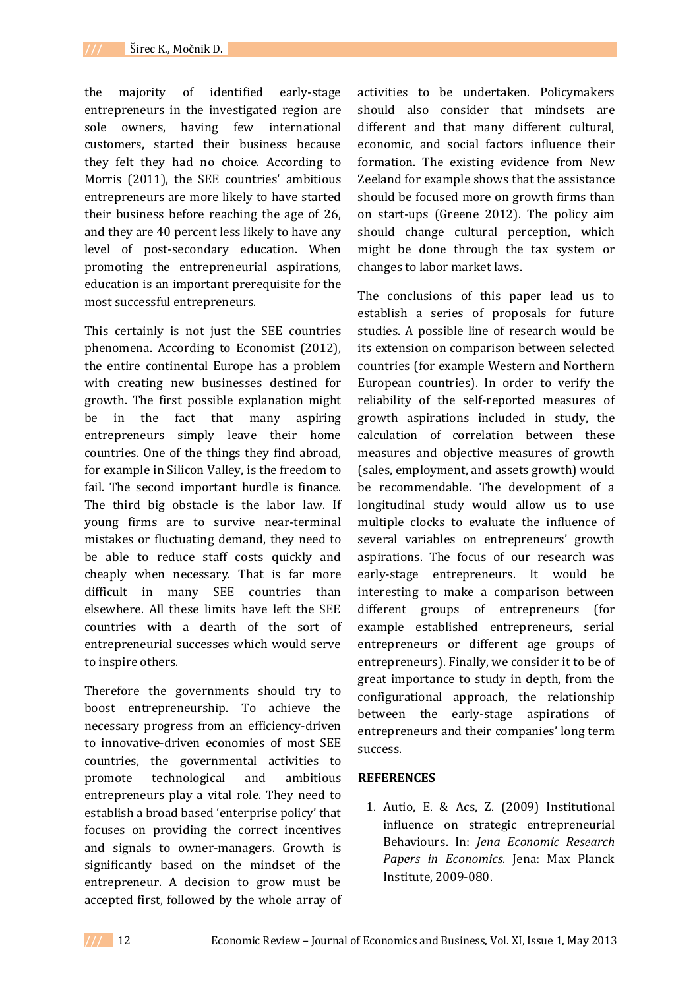the majority of identified early-stage entrepreneurs in the investigated region are sole owners, having few international customers, started their business because they felt they had no choice. According to Morris (2011), the SEE countries' ambitious entrepreneurs are more likely to have started their business before reaching the age of 26, and they are 40 percent less likely to have any level of post-secondary education. When promoting the entrepreneurial aspirations, education is an important prerequisite for the most successful entrepreneurs.

This certainly is not just the SEE countries phenomena. According to Economist (2012), the entire continental Europe has a problem with creating new businesses destined for growth. The first possible explanation might be in the fact that many aspiring entrepreneurs simply leave their home countries. One of the things they find abroad, for example in Silicon Valley, is the freedom to fail. The second important hurdle is finance. The third big obstacle is the labor law. If young firms are to survive near-terminal mistakes or fluctuating demand, they need to be able to reduce staff costs quickly and cheaply when necessary. That is far more difficult in many SEE countries than elsewhere. All these limits have left the SEE countries with a dearth of the sort of entrepreneurial successes which would serve to inspire others.

Therefore the governments should try to boost entrepreneurship. To achieve the necessary progress from an efficiency-driven to innovative-driven economies of most SEE countries, the governmental activities to promote technological and ambitious entrepreneurs play a vital role. They need to establish a broad based 'enterprise policy' that focuses on providing the correct incentives and signals to owner-managers. Growth is significantly based on the mindset of the entrepreneur. A decision to grow must be accepted first, followed by the whole array of activities to be undertaken. Policymakers should also consider that mindsets are different and that many different cultural, economic, and social factors influence their formation. The existing evidence from New Zeeland for example shows that the assistance should be focused more on growth firms than on start-ups (Greene 2012). The policy aim should change cultural perception, which might be done through the tax system or changes to labor market laws.

The conclusions of this paper lead us to establish a series of proposals for future studies. A possible line of research would be its extension on comparison between selected countries (for example Western and Northern European countries). In order to verify the reliability of the self-reported measures of growth aspirations included in study, the calculation of correlation between these measures and objective measures of growth (sales, employment, and assets growth) would be recommendable. The development of a longitudinal study would allow us to use multiple clocks to evaluate the influence of several variables on entrepreneurs' growth aspirations. The focus of our research was early-stage entrepreneurs. It would be interesting to make a comparison between different groups of entrepreneurs (for example established entrepreneurs, serial entrepreneurs or different age groups of entrepreneurs). Finally, we consider it to be of great importance to study in depth, from the configurational approach, the relationship between the early-stage aspirations of entrepreneurs and their companies' long term success.

### **REFERENCES**

1. Autio, E. & Acs, Z. (2009) Institutional influence on strategic entrepreneurial Behaviours. In: *Jena Economic Research Papers in Economics*. Jena: Max Planck Institute, 2009-080.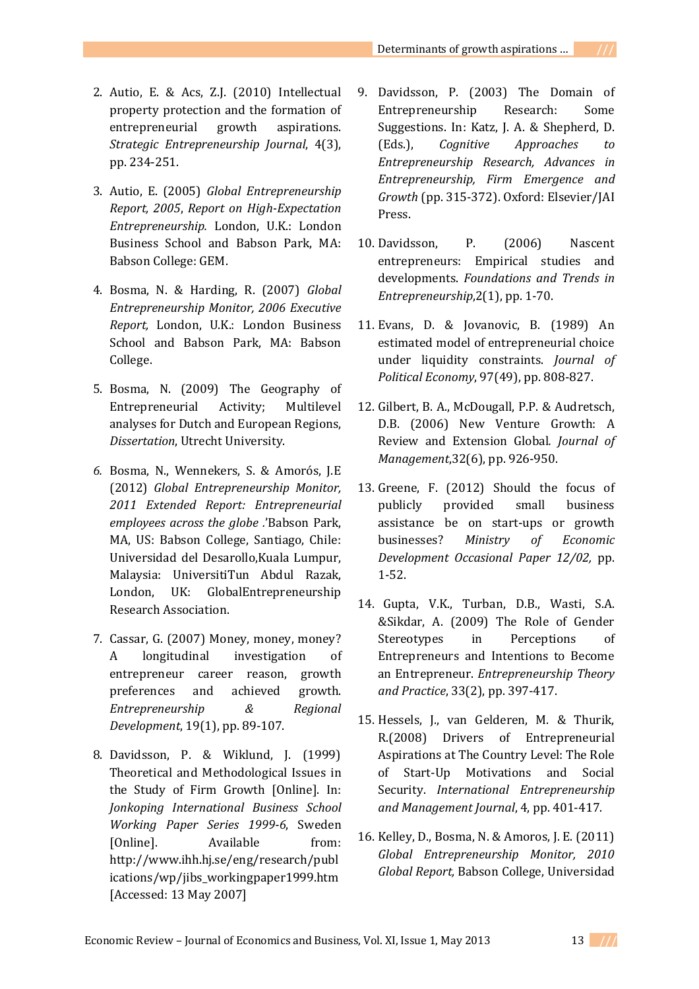- 2. Autio, E. & Acs, Z.J. (2010) Intellectual property protection and the formation of entrepreneurial growth aspirations. *Strategic Entrepreneurship Journal*, 4(3), pp. 234-251.
- 3. Autio, E. (2005) *Global Entrepreneurship Report, 2005*, *Report on High-Expectation Entrepreneurship.* London, U.K.: London Business School and Babson Park, MA: Babson College: GEM.
- 4. Bosma, N. & Harding, R. (2007) *Global Entrepreneurship Monitor, 2006 Executive Report,* London, U.K.: London Business School and Babson Park, MA: Babson College.
- 5. Bosma, N. (2009) The Geography of Entrepreneurial Activity; Multilevel analyses for Dutch and European Regions, *Dissertation*, Utrecht University.
- *6.* Bosma, N., Wennekers, S. & Amorós, J.E (2012) *Global Entrepreneurship Monitor, 2011 Extended Report: Entrepreneurial employees across the globe .*'Babson Park, MA, US: Babson College, Santiago, Chile: Universidad del Desarollo,Kuala Lumpur, Malaysia: UniversitiTun Abdul Razak, London, UK: GlobalEntrepreneurship Research Association.
- 7. Cassar, G. (2007) Money, money, money? A longitudinal investigation of entrepreneur career reason, growth preferences and achieved growth. *Entrepreneurship & Regional Development*, 19(1), pp. 89-107.
- 8. Davidsson, P. & Wiklund, J. (1999) Theoretical and Methodological Issues in the Study of Firm Growth [Online]. In: *Jonkoping International Business School Working Paper Series 1999-6*, Sweden [Online]. Available from: http://www.ihh.hj.se/eng/research/publ ications/wp/jibs\_workingpaper1999.htm [Accessed: 13 May 2007]
- 9. Davidsson, P. (2003) The Domain of Entrepreneurship Research: Some Suggestions. In: Katz, J. A. & Shepherd, D. (Eds.), *Cognitive Approaches to Entrepreneurship Research, Advances in Entrepreneurship, Firm Emergence and Growth* (pp. 315-372). Oxford: Elsevier/JAI Press.
- 10. Davidsson, P. (2006) Nascent entrepreneurs: Empirical studies and developments. *Foundations and Trends in Entrepreneurship*,2(1), pp. 1-70.
- 11. Evans, D. & Jovanovic, B. (1989) An estimated model of entrepreneurial choice under liquidity constraints. *Journal of Political Economy*, 97(49), pp. 808-827.
- 12. Gilbert, B. A., McDougall, P.P. & Audretsch, D.B. (2006) New Venture Growth: A Review and Extension Global*. Journal of Management*,32(6), pp. 926-950.
- 13. Greene, F. (2012) Should the focus of publicly provided small business assistance be on start-ups or growth businesses? *Ministry of Economic Development Occasional Paper 12/02,* pp. 1-52.
- 14. Gupta, V.K., Turban, D.B., Wasti, S.A. &Sikdar, A. (2009) The Role of Gender Stereotypes in Perceptions of Entrepreneurs and Intentions to Become an Entrepreneur. *Entrepreneurship Theory and Practice*, 33(2), pp. 397-417.
- 15. Hessels, J., van Gelderen, M. & Thurik, R.(2008) Drivers of Entrepreneurial Aspirations at The Country Level: The Role of Start-Up Motivations and Social Security. *International Entrepreneurship and Management Journal*, 4, pp. 401-417.
- 16. Kelley, D., Bosma, N. & Amoros, J. E. (2011) *Global Entrepreneurship Monitor, 2010 Global Report,* Babson College, Universidad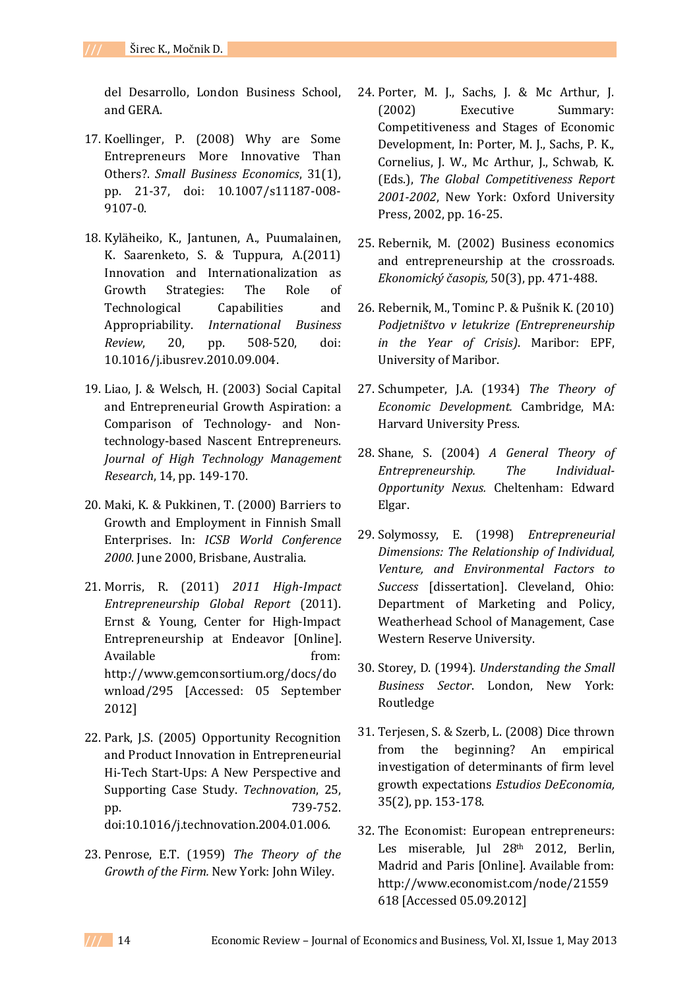del Desarrollo, London Business School, and GERA.

- 17. Koellinger, P. (2008) Why are Some Entrepreneurs More Innovative Than Others?. *Small Business Economics*, 31(1), pp. 21-37, doi: 10.1007/s11187-008- 9107-0.
- 18. Kyläheiko, K., Jantunen, A., Puumalainen, K. Saarenketo, S. & Tuppura, A.(2011) Innovation and Internationalization as Growth Strategies: The Role of Technological Capabilities and Appropriability. *International Business Review*, 20, pp. 508-520, doi: 10.1016/j.ibusrev.2010.09.004.
- 19. Liao, J. & Welsch, H. (2003) Social Capital and Entrepreneurial Growth Aspiration: a Comparison of Technology- and Nontechnology-based Nascent Entrepreneurs. *Journal of High Technology Management Research*, 14, pp. 149-170.
- 20. Maki, K. & Pukkinen, T. (2000) Barriers to Growth and Employment in Finnish Small Enterprises. In: *ICSB World Conference 2000*. June 2000, Brisbane, Australia.
- 21. Morris, R. (2011) *2011 High-Impact Entrepreneurship Global Report* (2011). Ernst & Young, Center for High-Impact Entrepreneurship at Endeavor [Online]. Available from: http://www.gemconsortium.org/docs/do wnload/295 [Accessed: 05 September 2012]
- 22. Park, J.S. (2005) Opportunity Recognition and Product Innovation in Entrepreneurial Hi-Tech Start-Ups: A New Perspective and Supporting Case Study. *Technovation*, 25, pp. 739-752. doi:10.1016/j.technovation.2004.01.006.
- 23. Penrose, E.T. (1959) *The Theory of the Growth of the Firm.* New York: John Wiley.
- 24. Porter, M. J., Sachs, J. & Mc Arthur, J. (2002) Executive Summary: Competitiveness and Stages of Economic Development, In: Porter, M. J., Sachs, P. K., Cornelius, J. W., Mc Arthur, J., Schwab, K. (Eds.), *The Global Competitiveness Report 2001-2002*, New York: Oxford University Press, 2002, pp. 16-25.
- 25. Rebernik, M. (2002) Business economics and entrepreneurship at the crossroads. *Ekonomický časopis,* 50(3), pp. 471-488.
- 26. Rebernik, M., Tominc P. & Pušnik K. (2010) *Podjetništvo v letukrize (Entrepreneurship in the Year of Crisis)*. Maribor: EPF, University of Maribor.
- 27. Schumpeter, J.A. (1934) *The Theory of Economic Development.* Cambridge, MA: Harvard University Press.
- 28. Shane, S. (2004) *A General Theory of Entrepreneurship. The Individual-Opportunity Nexus.* Cheltenham: Edward Elgar.
- 29. Solymossy, E. (1998) *Entrepreneurial Dimensions: The Relationship of Individual, Venture, and Environmental Factors to Success* [dissertation]. Cleveland, Ohio: Department of Marketing and Policy, Weatherhead School of Management, Case Western Reserve University.
- 30. Storey, D. (1994). *Understanding the Small Business Sector*. London, New York: Routledge
- 31. Terjesen, S. & Szerb, L. (2008) Dice thrown from the beginning? An empirical investigation of determinants of firm level growth expectations *Estudios DeEconomia,*  35(2), pp. 153-178.
- 32. The Economist: European entrepreneurs: Les miserable, Jul 28<sup>th</sup> 2012, Berlin, Madrid and Paris [Online]. Available from: http://www.economist.com/node/21559 618 [Accessed 05.09.2012]